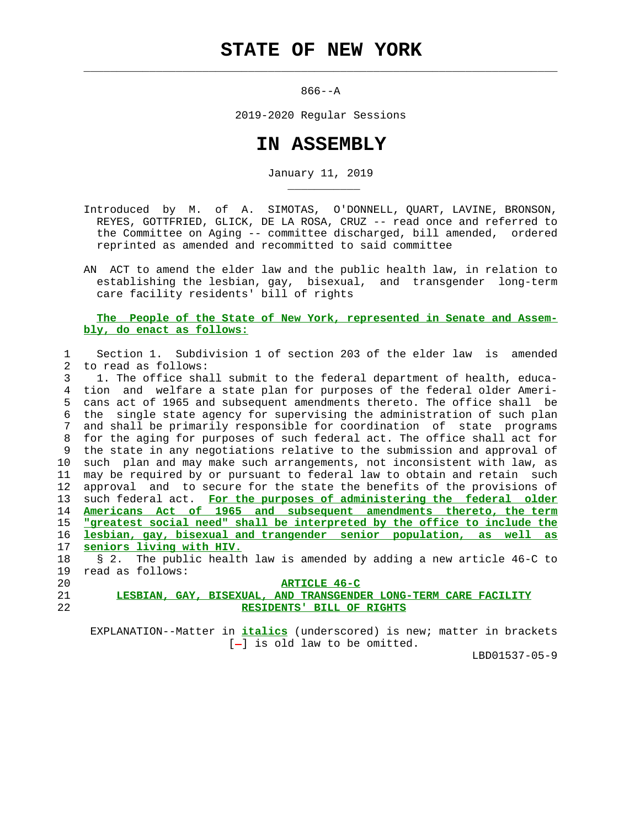$\mathcal{L}_\text{max} = \frac{1}{2} \sum_{i=1}^{n} \frac{1}{2} \sum_{i=1}^{n} \frac{1}{2} \sum_{i=1}^{n} \frac{1}{2} \sum_{i=1}^{n} \frac{1}{2} \sum_{i=1}^{n} \frac{1}{2} \sum_{i=1}^{n} \frac{1}{2} \sum_{i=1}^{n} \frac{1}{2} \sum_{i=1}^{n} \frac{1}{2} \sum_{i=1}^{n} \frac{1}{2} \sum_{i=1}^{n} \frac{1}{2} \sum_{i=1}^{n} \frac{1}{2} \sum_{i=1}^{n} \frac{1$ 

\_\_\_\_\_\_\_\_\_\_\_

 $866 - -A$ 

2019-2020 Regular Sessions

## **IN ASSEMBLY**

January 11, 2019

 Introduced by M. of A. SIMOTAS, O'DONNELL, QUART, LAVINE, BRONSON, REYES, GOTTFRIED, GLICK, DE LA ROSA, CRUZ -- read once and referred to the Committee on Aging -- committee discharged, bill amended, ordered reprinted as amended and recommitted to said committee

 AN ACT to amend the elder law and the public health law, in relation to establishing the lesbian, gay, bisexual, and transgender long-term care facility residents' bill of rights

## **The People of the State of New York, represented in Senate and Assem bly, do enact as follows:**

|                   | Section 1. Subdivision 1 of section 203 of the elder law is amended      |
|-------------------|--------------------------------------------------------------------------|
| $2^{\circ}$       | to read as follows:                                                      |
| 3                 | 1. The office shall submit to the federal department of health, educa-   |
| 4                 | tion and welfare a state plan for purposes of the federal older Ameri-   |
| 5                 | cans act of 1965 and subsequent amendments thereto. The office shall be  |
| 6                 | the single state agency for supervising the administration of such plan  |
| 7                 | and shall be primarily responsible for coordination of state programs    |
| 8                 | for the aging for purposes of such federal act. The office shall act for |
| 9                 | the state in any negotiations relative to the submission and approval of |
| 10                | such plan and may make such arrangements, not inconsistent with law, as  |
| 11                | may be required by or pursuant to federal law to obtain and retain such  |
| $12 \overline{ }$ | approval and to secure for the state the benefits of the provisions of   |
| 13                | such federal act. For the purposes of administering the federal older    |
| 14                | Americans Act of 1965 and subsequent amendments thereto, the term        |
| 15                | "greatest social need" shall be interpreted by the office to include the |
| 16                | lesbian, gay, bisexual and trangender senior population, as well as      |
| 17                | seniors living with HIV.                                                 |
| 18                | § 2. The public health law is amended by adding a new article 46-C to    |
| 19                | read as follows:                                                         |
| 20                | <b>ARTICLE 46-C</b>                                                      |
| 21                | LESBIAN, GAY, BISEXUAL, AND TRANSGENDER LONG-TERM CARE FACILITY          |
| 22                | RESIDENTS' BILL OF RIGHTS                                                |

 EXPLANATION--Matter in **italics** (underscored) is new; matter in brackets  $[-]$  is old law to be omitted.

LBD01537-05-9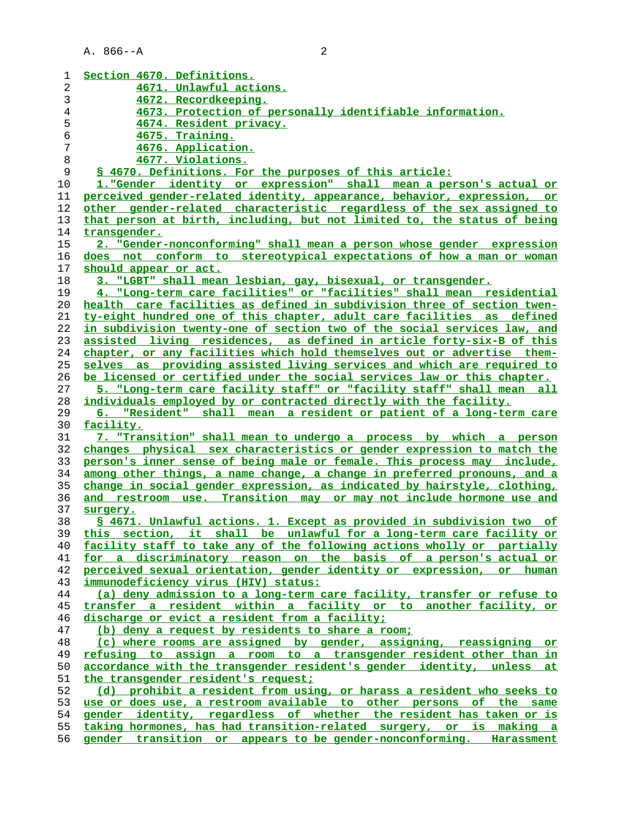| 1  | Section 4670. Definitions.                                                    |
|----|-------------------------------------------------------------------------------|
| 2  | 4671. Unlawful actions.                                                       |
| 3  | 4672. Recordkeeping.                                                          |
| 4  | 4673. Protection of personally identifiable information.                      |
| 5  | 4674. Resident privacy.                                                       |
|    |                                                                               |
| 6  | 4675. Training.                                                               |
| 7  | 4676. Application.                                                            |
| 8  | 4677. Violations.                                                             |
| 9  | \$ 4670. Definitions. For the purposes of this article:                       |
| 10 | 1. "Gender identity or expression" shall mean a person's actual or            |
| 11 | perceived gender-related identity, appearance, behavior, expression, or       |
| 12 | other gender-related characteristic regardless of the sex assigned to         |
| 13 | that person at birth, including, but not limited to, the status of being      |
| 14 | transgender.                                                                  |
| 15 | 2. "Gender-nonconforming" shall mean a person whose gender expression         |
| 16 | does not conform to stereotypical expectations of how a man or woman          |
| 17 | should appear or act.                                                         |
| 18 | 3. "LGBT" shall mean lesbian, gay, bisexual, or transgender.                  |
| 19 | 4. "Long-term care facilities" or "facilities" shall mean residential         |
| 20 | health care facilities as defined in subdivision three of section twen-       |
| 21 | ty-eight hundred one of this chapter, adult care facilities as defined        |
| 22 | in subdivision twenty-one of section two of the social services law, and      |
| 23 | assisted living residences, as defined in article forty-six-B of this         |
| 24 | chapter, or any facilities which hold themselves out or advertise them-       |
| 25 | selves as providing assisted living services and which are required to        |
| 26 | be licensed or certified under the social services law or this chapter.       |
| 27 | 5. "Long-term care facility staff" or "facility staff" shall mean all         |
| 28 | individuals employed by or contracted directly with the facility.             |
|    | 6. "Resident" shall mean a resident or patient of a long-term care            |
| 29 |                                                                               |
| 30 | facility.                                                                     |
| 31 | 7. "Transition" shall mean to undergo a process by which a person             |
| 32 | changes physical sex characteristics or gender expression to match the        |
| 33 | person's inner sense of being male or female. This process may include,       |
| 34 | among other things, a name change, a change in preferred pronouns, and a      |
| 35 | change in social gender expression, as indicated by hairstyle, clothing,      |
| 36 | and restroom use. Transition may or may not include hormone use and           |
| 37 | surgery.                                                                      |
| 38 | § 4671. Unlawful actions. 1. Except as provided in subdivision two of         |
| 39 |                                                                               |
|    | section, it shall be unlawful for a long-term care facility or<br><u>this</u> |
| 40 | facility staff to take any of the following actions wholly or partially       |
| 41 | for a discriminatory reason on the basis of a person's actual or              |
| 42 | perceived sexual orientation, gender identity or expression, or human         |
| 43 | immunodeficiency virus (HIV) status:                                          |
| 44 | (a) deny admission to a long-term care facility, transfer or refuse to        |
| 45 | transfer a resident within a facility or to another facility, or              |
| 46 | discharge or evict a resident from a facility;                                |
| 47 | (b) deny a request by residents to share a room;                              |
| 48 | (c) where rooms are assigned by gender, assigning, reassigning or             |
| 49 | refusing to assign a room to a transgender resident other than in             |
| 50 | accordance with the transgender resident's gender identity, unless at         |
| 51 | the transgender resident's request;                                           |
| 52 | (d) prohibit a resident from using, or harass a resident who seeks to         |
| 53 | use or does use, a restroom available to other persons of the same            |
| 54 | gender identity, regardless of whether the resident has taken or is           |
| 55 | taking hormones, has had transition-related surgery, or is making a           |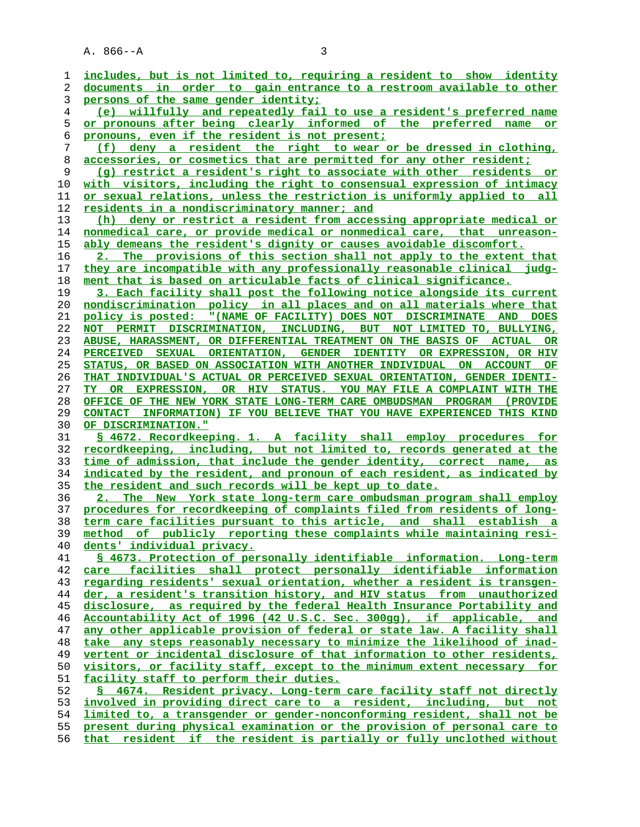A. 866--A 3

**includes, but is not limited to, requiring a resident to show identity documents in order to gain entrance to a restroom available to other persons of the same gender identity; (e) willfully and repeatedly fail to use a resident's preferred name or pronouns after being clearly informed of the preferred name or pronouns, even if the resident is not present; (f) deny a resident the right to wear or be dressed in clothing, accessories, or cosmetics that are permitted for any other resident; (g) restrict a resident's right to associate with other residents or with visitors, including the right to consensual expression of intimacy or sexual relations, unless the restriction is uniformly applied to all residents in a nondiscriminatory manner; and (h) deny or restrict a resident from accessing appropriate medical or nonmedical care, or provide medical or nonmedical care, that unreason- ably demeans the resident's dignity or causes avoidable discomfort. 2. The provisions of this section shall not apply to the extent that they are incompatible with any professionally reasonable clinical judg- ment that is based on articulable facts of clinical significance. 3. Each facility shall post the following notice alongside its current**

**nondiscrimination policy in all places and on all materials where that policy is posted: "(NAME OF FACILITY) DOES NOT DISCRIMINATE AND DOES NOT PERMIT DISCRIMINATION, INCLUDING, BUT NOT LIMITED TO, BULLYING, ABUSE, HARASSMENT, OR DIFFERENTIAL TREATMENT ON THE BASIS OF ACTUAL OR PERCEIVED SEXUAL ORIENTATION, GENDER IDENTITY OR EXPRESSION, OR HIV STATUS, OR BASED ON ASSOCIATION WITH ANOTHER INDIVIDUAL ON ACCOUNT OF THAT INDIVIDUAL'S ACTUAL OR PERCEIVED SEXUAL ORIENTATION, GENDER IDENTI- TY OR EXPRESSION, OR HIV STATUS. YOU MAY FILE A COMPLAINT WITH THE OFFICE OF THE NEW YORK STATE LONG-TERM CARE OMBUDSMAN PROGRAM (PROVIDE CONTACT INFORMATION) IF YOU BELIEVE THAT YOU HAVE EXPERIENCED THIS KIND OF DISCRIMINATION."**

**§ 4672. Recordkeeping. 1. A facility shall employ procedures for recordkeeping, including, but not limited to, records generated at the time of admission, that include the gender identity, correct name, as indicated by the resident, and pronoun of each resident, as indicated by the resident and such records will be kept up to date.**

**2. The New York state long-term care ombudsman program shall employ procedures for recordkeeping of complaints filed from residents of long- term care facilities pursuant to this article, and shall establish a method of publicly reporting these complaints while maintaining resi- dents' individual privacy.**

**§ 4673. Protection of personally identifiable information. Long-term care facilities shall protect personally identifiable information regarding residents' sexual orientation, whether a resident is transgen- der, a resident's transition history, and HIV status from unauthorized disclosure, as required by the federal Health Insurance Portability and Accountability Act of 1996 (42 U.S.C. Sec. 300gg), if applicable, and any other applicable provision of federal or state law. A facility shall take any steps reasonably necessary to minimize the likelihood of inad- vertent or incidental disclosure of that information to other residents, visitors, or facility staff, except to the minimum extent necessary for facility staff to perform their duties. § 4674. Resident privacy. Long-term care facility staff not directly involved in providing direct care to a resident, including, but not**

**limited to, a transgender or gender-nonconforming resident, shall not be present during physical examination or the provision of personal care to that resident if the resident is partially or fully unclothed without**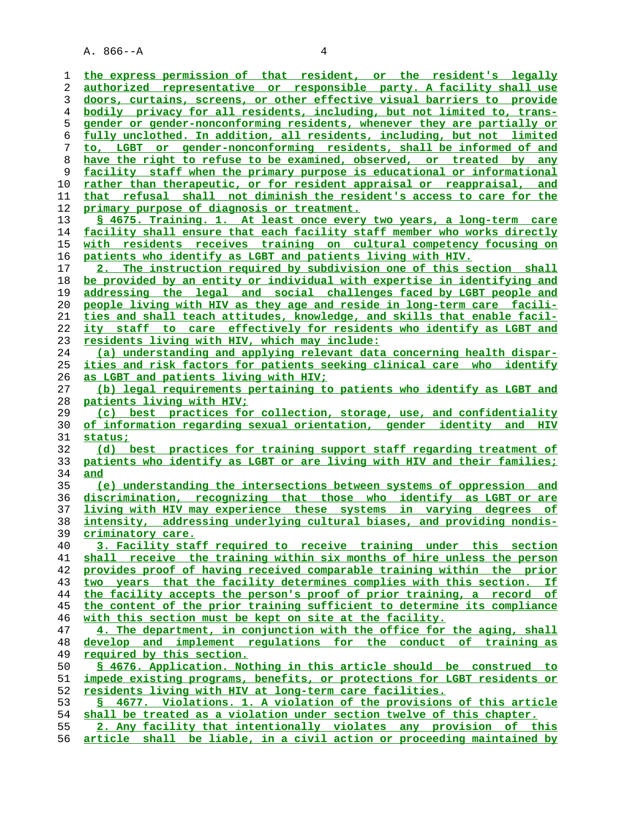A. 866--A 4

**the express permission of that resident, or the resident's legally authorized representative or responsible party. A facility shall use doors, curtains, screens, or other effective visual barriers to provide bodily privacy for all residents, including, but not limited to, trans- gender or gender-nonconforming residents, whenever they are partially or fully unclothed. In addition, all residents, including, but not limited to, LGBT or gender-nonconforming residents, shall be informed of and have the right to refuse to be examined, observed, or treated by any facility staff when the primary purpose is educational or informational rather than therapeutic, or for resident appraisal or reappraisal, and that refusal shall not diminish the resident's access to care for the primary purpose of diagnosis or treatment. § 4675. Training. 1. At least once every two years, a long-term care facility shall ensure that each facility staff member who works directly with residents receives training on cultural competency focusing on patients who identify as LGBT and patients living with HIV. 2. The instruction required by subdivision one of this section shall be provided by an entity or individual with expertise in identifying and addressing the legal and social challenges faced by LGBT people and people living with HIV as they age and reside in long-term care facili- ties and shall teach attitudes, knowledge, and skills that enable facil- ity staff to care effectively for residents who identify as LGBT and residents living with HIV, which may include: (a) understanding and applying relevant data concerning health dispar- ities and risk factors for patients seeking clinical care who identify as LGBT and patients living with HIV; (b) legal requirements pertaining to patients who identify as LGBT and patients living with HIV; (c) best practices for collection, storage, use, and confidentiality of information regarding sexual orientation, gender identity and HIV status; (d) best practices for training support staff regarding treatment of patients who identify as LGBT or are living with HIV and their families; and (e) understanding the intersections between systems of oppression and discrimination, recognizing that those who identify as LGBT or are living with HIV may experience these systems in varying degrees of intensity, addressing underlying cultural biases, and providing nondis- criminatory care. 3. Facility staff required to receive training under this section shall receive the training within six months of hire unless the person provides proof of having received comparable training within the prior two years that the facility determines complies with this section. If the facility accepts the person's proof of prior training, a record of the content of the prior training sufficient to determine its compliance with this section must be kept on site at the facility. 4. The department, in conjunction with the office for the aging, shall develop and implement regulations for the conduct of training as required by this section. § 4676. Application. Nothing in this article should be construed to impede existing programs, benefits, or protections for LGBT residents or residents living with HIV at long-term care facilities. § 4677. Violations. 1. A violation of the provisions of this article shall be treated as a violation under section twelve of this chapter. 2. Any facility that intentionally violates any provision of this article shall be liable, in a civil action or proceeding maintained by**